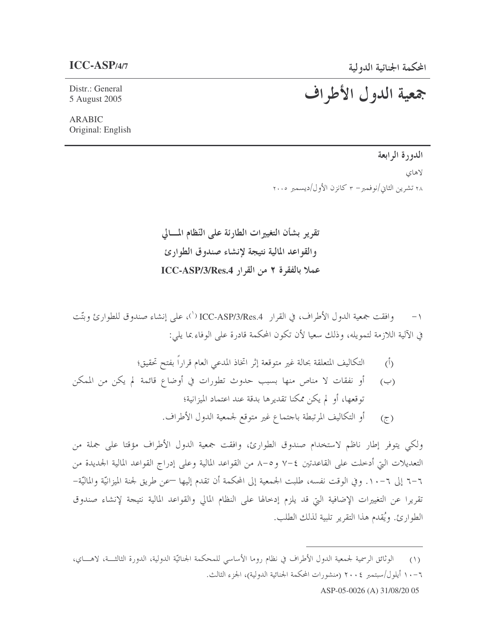## $ICC-ASP$ /4/7

Distr.: General 5 August 2005

## جمعية الدول الأطراف

**ARABIC** Original: English

الدورة الرابعة

لاهاي

٢٨ تشرين الثاني/نوفمبر– ٣ كانزن الأول/ديسمبر ٢٠٠٥

تقرير بشأن التغييرات الطارئة على النّظام المسالي والقواعد المالية نتيجة لإنشاء صندوق الطوارئ عملا بالفقرة ٢ من القرار ICC-ASP/3/Res.4

وافقت جمعية الدول الأطراف، في القرار ICC-ASP/3/Res.4 (`)، على إنشاء صندوق للطوارئ وبتّت في الآلية اللازمة لتمويله، وذلك سعيا لأن تكون المحكمة قادرة على الوفاء بما يلي:

- التكاليف المتعلقة بحالة غير متوقعة إثر اتخاذ المدعى العام قراراً بفتح تحقيق؛  $\langle \hat{D} \rangle$
- أو نفقات لا مناص منها بسبب حدوث تطورات في أوضاع قائمة لم يكن من الممكن  $(\hookrightarrow)$ توقعها، أو لم يكن ممكنا تقديرها بدقة عند اعتماد الميزانية؛ أو التكاليف المرتبطة باحتماع غير متوقع لجمعية الدول الأطراف.  $(7)$

ولكي يتوفر إطار ناظم لاستخدام صندوق الطوارئ، وافقت جمعية الدول الأطراف مؤقتا على جملة من التعديلات التي أدخلت على القاعدتين ٤–٧ و٥–٨ من القواعد المالية وعلى إدراج القواعد المالية الجديدة من ٦–٦ إلى ٦–١٠. وفي الوقت نفسه، طلبت الجمعية إلى المحكمة أن تقدم إليها —عن طريق لجنة الميزانيّة والماليّة– تقريرا عن التغييرات الإضافية التي قد يلزم إدخالها على النظام المالي والقواعد المالية نتيجة لإنشاء صندوق الطوارئ. ويُقدم هذا التقرير تلبية لذلك الطلب.

ASP-05-0026 (A) 31/08/20 05

الوثائق الرسمية لجمعية الدول الأطراف في نظام روما الأساسي للمحكمة الجنائيّة الدولية، الدورة الثالثـــة، لاهــــاي،  $(1)$ ٦ - ١٠ أيلول/سبتمبر ٢٠٠٤ (منشورات المحكمة الجنائية الدولية)، الجزء الثالث.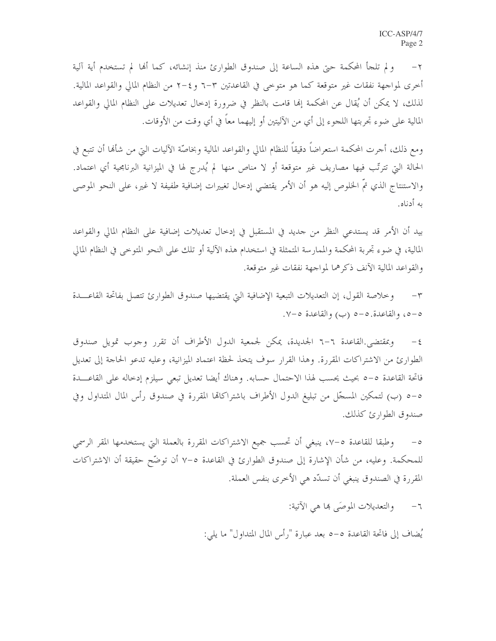ولم تلجأ المحكمة حتى هذه الساعة إلى صندوق الطوارئ منذ إنشائه، كما أُلها لم تستخدم أية آلية  $-\tau$ أخرى لمواجهة نفقات غير متوقعة كما هو متوخى في القاعدتين ٣–٦ و٤–٢ من النظام المالي والقواعد المالية. لذلك، لا يمكن أن يُقال عن المحكمة إلها قامت بالنظر في ضرورة إدخال تعديلات على النظام المالي والقواعد المالية على ضوء تحربتها اللجوء إلى أي من الآليتين أو إليهما معاً في أي وقت من الأوقات.

ومع ذلك، أحرت المحكمة استعراضاً دقيقاً للنظام المالي والقواعد المالية وبخاصّة الآليات التي من شألها أن تتبع في الحالة التي تترتَّب فيها مصاريف غير متوقعة أو لا مناص منها لم يُدرج لها في الميزانية البرنامجية أي اعتماد. والاستنتاج الذي تمَّ الحلوص إليه هو أن الأمر يقتضي إدخال تغييرات إضافية طفيفة لا غير، على النحو الموصى به أدناه.

بيد أن الأمر قد يستدعى النظر من جديد في المستقبل في إدخال تعديلات إضافية على النظام المالي والقواعد المالية، في ضوء تجربة المحكمة والممارسة المتمثلة في استخدام هذه الآلية أو تلك على النحو المتوحى في النظام المالي والقواعد المالية الآنف ذكرهما لمواجهة نفقات غير متوقعة.

وخلاصة القول، إن التعديلات التبعية الإضافية التي يقتضيها صندوق الطوارئ تتصل بفاتحة القاعـــدة  $-\tau$ ٥-٥، والقاعدة.٥-٥ (ب) والقاعدة ٧-٧.

وبمقتضى القاعدة ٦–٦ الجديدة، يمكن لجمعية الدول الأطراف أن تقرر وجوب تمويل صندوق  $-\xi$ الطوارئ من الاشتراكات المقررة. وهذا القرار سوف يتخذ لحظة اعتماد الميزانية، وعليه تدعو الحاجة إلى تعديل فاتحة القاعدة ٥–٥ بحيث يحسب لهذا الاحتمال حسابه. وهناك أيضا تعديل تبعي سيلزم إدخاله على القاعـــدة ٥–٥ (ب) لتمكين المسحّل من تبليغ الدول الأطراف باشتراكاتما المقررة في صندوق رأس المال المتداول وفي صندوق الطوارئ كذلك.

وطبقا للقاعدة ٥–٧، ينبغي أن تحسب جميع الاشتراكات المقررة بالعملة التي يستخدمها المقر الرسمي  $-\circ$ للمحكمة. وعليه، من شأن الإشارة إلى صندوق الطوارئ في القاعدة ٥-٧ أن توضّح حقيقة أن الاشتراكات المقررة في الصندوق ينبغي أن تسدّد هي الأخرى بنفس العملة.

> والتعديلات الموصّى ها هي الآتية:  $-\mathbb{I}$

يُضاف إلى فاتحة القاعدة ٥–٥ بعد عبارة "رأس المال المتداول" ما يلي: